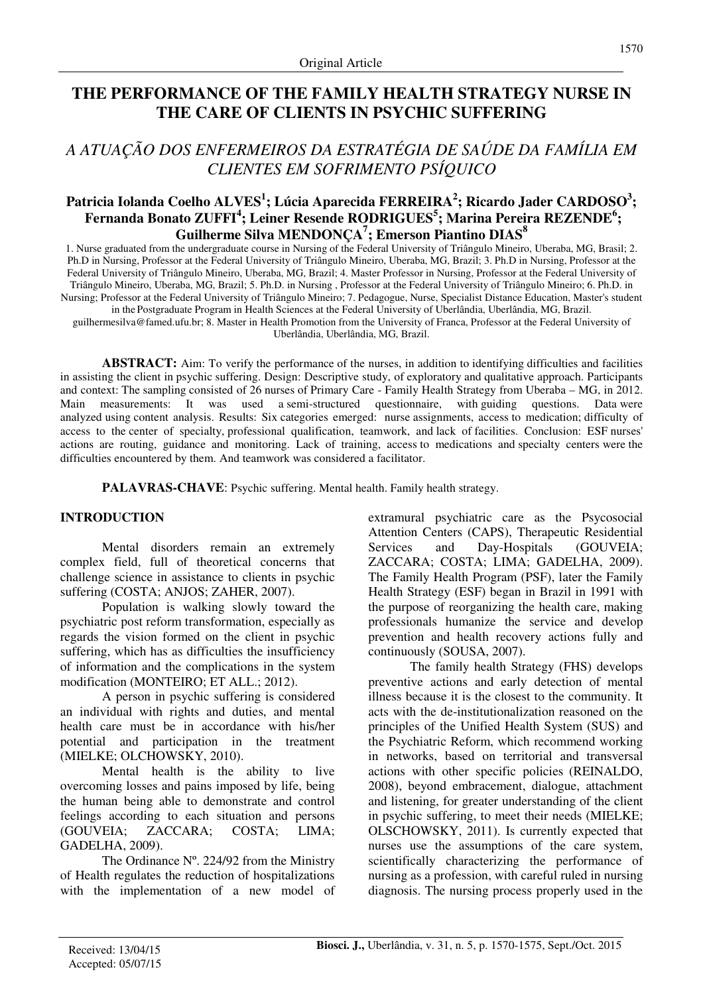# **THE PERFORMANCE OF THE FAMILY HEALTH STRATEGY NURSE IN THE CARE OF CLIENTS IN PSYCHIC SUFFERING**

# *A ATUAÇÃO DOS ENFERMEIROS DA ESTRATÉGIA DE SAÚDE DA FAMÍLIA EM CLIENTES EM SOFRIMENTO PSÍQUICO*

## **Patricia Iolanda Coelho ALVES<sup>1</sup> ; Lúcia Aparecida FERREIRA<sup>2</sup> ; Ricardo Jader CARDOSO<sup>3</sup> ; Fernanda Bonato ZUFFI<sup>4</sup> ; Leiner Resende RODRIGUES<sup>5</sup> ; Marina Pereira REZENDE<sup>6</sup> ; Guilherme Silva MENDONÇA<sup>7</sup> ; Emerson Piantino DIAS<sup>8</sup>**

1. Nurse graduated from the undergraduate course in Nursing of the Federal University of Triângulo Mineiro, Uberaba, MG, Brasil; 2. Ph.D in Nursing, Professor at the Federal University of Triângulo Mineiro, Uberaba, MG, Brazil; 3. Ph.D in Nursing, Professor at the Federal University of Triângulo Mineiro, Uberaba, MG, Brazil; 4. Master Professor in Nursing, Professor at the Federal University of Triângulo Mineiro, Uberaba, MG, Brazil; 5. Ph.D. in Nursing , Professor at the Federal University of Triângulo Mineiro; 6. Ph.D. in Nursing; Professor at the Federal University of Triângulo Mineiro; 7. Pedagogue, Nurse, Specialist Distance Education, Master's student in the Postgraduate Program in Health Sciences at the Federal University of Uberlândia, Uberlândia, MG, Brazil. guilhermesilva@famed.ufu.br; 8. Master in Health Promotion from the University of Franca, Professor at the Federal University of Uberlândia, Uberlândia, MG, Brazil.

**ABSTRACT:** Aim: To verify the performance of the nurses, in addition to identifying difficulties and facilities in assisting the client in psychic suffering. Design: Descriptive study, of exploratory and qualitative approach. Participants and context: The sampling consisted of 26 nurses of Primary Care - Family Health Strategy from Uberaba – MG, in 2012. Main measurements: It was used a semi-structured questionnaire, with guiding questions. Data were analyzed using content analysis. Results: Six categories emerged: nurse assignments, access to medication; difficulty of access to the center of specialty, professional qualification, teamwork, and lack of facilities. Conclusion: ESF nurses' actions are routing, guidance and monitoring. Lack of training, access to medications and specialty centers were the difficulties encountered by them. And teamwork was considered a facilitator.

PALAVRAS-CHAVE: Psychic suffering. Mental health. Family health strategy.

## **INTRODUCTION**

Mental disorders remain an extremely complex field, full of theoretical concerns that challenge science in assistance to clients in psychic suffering (COSTA; ANJOS; ZAHER, 2007).

Population is walking slowly toward the psychiatric post reform transformation, especially as regards the vision formed on the client in psychic suffering, which has as difficulties the insufficiency of information and the complications in the system modification (MONTEIRO; ET ALL.; 2012).

A person in psychic suffering is considered an individual with rights and duties, and mental health care must be in accordance with his/her potential and participation in the treatment (MIELKE; OLCHOWSKY, 2010).

Mental health is the ability to live overcoming losses and pains imposed by life, being the human being able to demonstrate and control feelings according to each situation and persons (GOUVEIA; ZACCARA; COSTA; LIMA; GADELHA, 2009).

The Ordinance Nº. 224/92 from the Ministry of Health regulates the reduction of hospitalizations with the implementation of a new model of extramural psychiatric care as the Psycosocial Attention Centers (CAPS), Therapeutic Residential Services and Day-Hospitals (GOUVEIA; ZACCARA; COSTA; LIMA; GADELHA, 2009). The Family Health Program (PSF), later the Family Health Strategy (ESF) began in Brazil in 1991 with the purpose of reorganizing the health care, making professionals humanize the service and develop prevention and health recovery actions fully and continuously (SOUSA, 2007).

The family health Strategy (FHS) develops preventive actions and early detection of mental illness because it is the closest to the community. It acts with the de-institutionalization reasoned on the principles of the Unified Health System (SUS) and the Psychiatric Reform, which recommend working in networks, based on territorial and transversal actions with other specific policies (REINALDO, 2008), beyond embracement, dialogue, attachment and listening, for greater understanding of the client in psychic suffering, to meet their needs (MIELKE; OLSCHOWSKY, 2011). Is currently expected that nurses use the assumptions of the care system, scientifically characterizing the performance of nursing as a profession, with careful ruled in nursing diagnosis. The nursing process properly used in the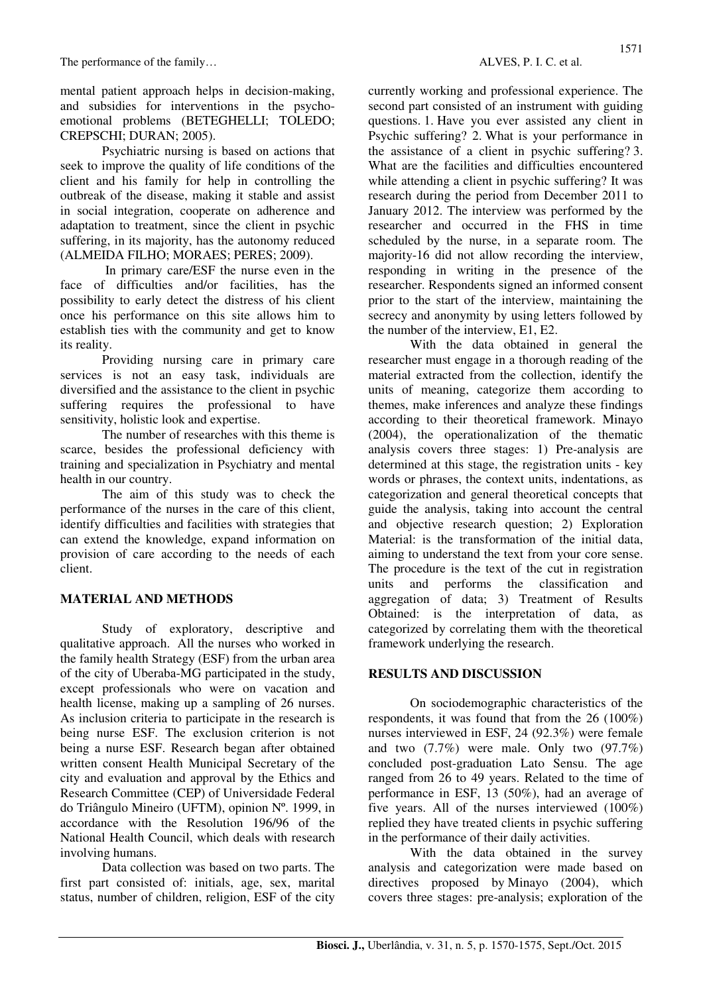mental patient approach helps in decision-making, and subsidies for interventions in the psychoemotional problems (BETEGHELLI; TOLEDO; CREPSCHI; DURAN; 2005).

Psychiatric nursing is based on actions that seek to improve the quality of life conditions of the client and his family for help in controlling the outbreak of the disease, making it stable and assist in social integration, cooperate on adherence and adaptation to treatment, since the client in psychic suffering, in its majority, has the autonomy reduced (ALMEIDA FILHO; MORAES; PERES; 2009).

 In primary care/ESF the nurse even in the face of difficulties and/or facilities, has the possibility to early detect the distress of his client once his performance on this site allows him to establish ties with the community and get to know its reality.

Providing nursing care in primary care services is not an easy task, individuals are diversified and the assistance to the client in psychic suffering requires the professional to have sensitivity, holistic look and expertise.

The number of researches with this theme is scarce, besides the professional deficiency with training and specialization in Psychiatry and mental health in our country.

The aim of this study was to check the performance of the nurses in the care of this client, identify difficulties and facilities with strategies that can extend the knowledge, expand information on provision of care according to the needs of each client.

## **MATERIAL AND METHODS**

Study of exploratory, descriptive and qualitative approach. All the nurses who worked in the family health Strategy (ESF) from the urban area of the city of Uberaba-MG participated in the study, except professionals who were on vacation and health license, making up a sampling of 26 nurses. As inclusion criteria to participate in the research is being nurse ESF. The exclusion criterion is not being a nurse ESF. Research began after obtained written consent Health Municipal Secretary of the city and evaluation and approval by the Ethics and Research Committee (CEP) of Universidade Federal do Triângulo Mineiro (UFTM), opinion Nº. 1999, in accordance with the Resolution 196/96 of the National Health Council, which deals with research involving humans.

Data collection was based on two parts. The first part consisted of: initials, age, sex, marital status, number of children, religion, ESF of the city currently working and professional experience. The second part consisted of an instrument with guiding questions. 1. Have you ever assisted any client in Psychic suffering? 2. What is your performance in the assistance of a client in psychic suffering? 3. What are the facilities and difficulties encountered while attending a client in psychic suffering? It was research during the period from December 2011 to January 2012. The interview was performed by the researcher and occurred in the FHS in time scheduled by the nurse, in a separate room. The majority-16 did not allow recording the interview, responding in writing in the presence of the researcher. Respondents signed an informed consent prior to the start of the interview, maintaining the secrecy and anonymity by using letters followed by the number of the interview, E1, E2.

With the data obtained in general the researcher must engage in a thorough reading of the material extracted from the collection, identify the units of meaning, categorize them according to themes, make inferences and analyze these findings according to their theoretical framework. Minayo (2004), the operationalization of the thematic analysis covers three stages: 1) Pre-analysis are determined at this stage, the registration units - key words or phrases, the context units, indentations, as categorization and general theoretical concepts that guide the analysis, taking into account the central and objective research question; 2) Exploration Material: is the transformation of the initial data, aiming to understand the text from your core sense. The procedure is the text of the cut in registration units and performs the classification and aggregation of data; 3) Treatment of Results Obtained: is the interpretation of data, as categorized by correlating them with the theoretical framework underlying the research.

## **RESULTS AND DISCUSSION**

On sociodemographic characteristics of the respondents, it was found that from the 26 (100%) nurses interviewed in ESF, 24 (92.3%) were female and two  $(7.7\%)$  were male. Only two  $(97.7\%)$ concluded post-graduation Lato Sensu. The age ranged from 26 to 49 years. Related to the time of performance in ESF, 13 (50%), had an average of five years. All of the nurses interviewed (100%) replied they have treated clients in psychic suffering in the performance of their daily activities.

With the data obtained in the survey analysis and categorization were made based on directives proposed by Minayo (2004), which covers three stages: pre-analysis; exploration of the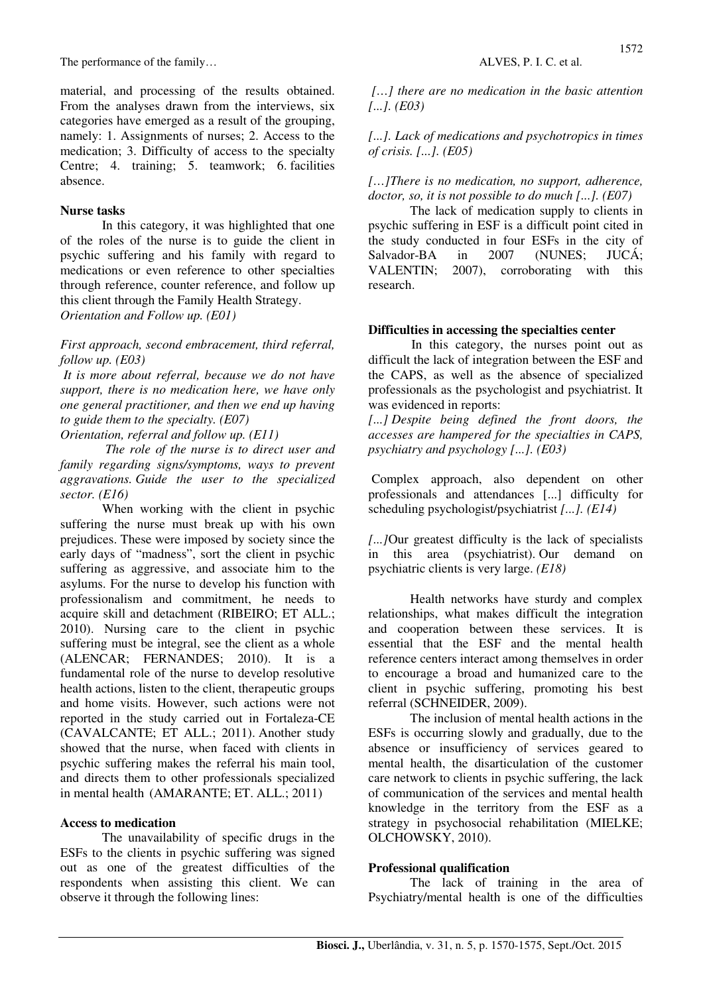The performance of the family…  $ALVES, P. I. C.$  et al.

material, and processing of the results obtained. From the analyses drawn from the interviews, six categories have emerged as a result of the grouping, namely: 1. Assignments of nurses; 2. Access to the medication; 3. Difficulty of access to the specialty Centre; 4. training; 5. teamwork; 6. facilities absence.

#### **Nurse tasks**

In this category, it was highlighted that one of the roles of the nurse is to guide the client in psychic suffering and his family with regard to medications or even reference to other specialties through reference, counter reference, and follow up this client through the Family Health Strategy. *Orientation and Follow up. (E01)*

*First approach, second embracement, third referral, follow up. (E03)*

 *It is more about referral, because we do not have support, there is no medication here, we have only one general practitioner, and then we end up having to guide them to the specialty. (E07)* 

*Orientation, referral and follow up. (E11)*

 *The role of the nurse is to direct user and family regarding signs/symptoms, ways to prevent aggravations. Guide the user to the specialized sector. (E16)*

When working with the client in psychic suffering the nurse must break up with his own prejudices. These were imposed by society since the early days of "madness", sort the client in psychic suffering as aggressive, and associate him to the asylums. For the nurse to develop his function with professionalism and commitment, he needs to acquire skill and detachment (RIBEIRO; ET ALL.; 2010). Nursing care to the client in psychic suffering must be integral, see the client as a whole (ALENCAR; FERNANDES; 2010). It is a fundamental role of the nurse to develop resolutive health actions, listen to the client, therapeutic groups and home visits. However, such actions were not reported in the study carried out in Fortaleza-CE (CAVALCANTE; ET ALL.; 2011). Another study showed that the nurse, when faced with clients in psychic suffering makes the referral his main tool, and directs them to other professionals specialized in mental health (AMARANTE; ET. ALL.; 2011)

#### **Access to medication**

The unavailability of specific drugs in the ESFs to the clients in psychic suffering was signed out as one of the greatest difficulties of the respondents when assisting this client. We can observe it through the following lines:

 *[…] there are no medication in the basic attention [...]. (E03)*

*[...]. Lack of medications and psychotropics in times of crisis. [...]. (E05)*

#### *[…]There is no medication, no support, adherence, doctor, so, it is not possible to do much [...]. (E07)*

The lack of medication supply to clients in psychic suffering in ESF is a difficult point cited in the study conducted in four ESFs in the city of Salvador-BA in 2007 (NUNES: JUCÁ: VALENTIN; 2007), corroborating with this research.

#### **Difficulties in accessing the specialties center**

 In this category, the nurses point out as difficult the lack of integration between the ESF and the CAPS, as well as the absence of specialized professionals as the psychologist and psychiatrist. It was evidenced in reports:

*[...] Despite being defined the front doors, the accesses are hampered for the specialties in CAPS, psychiatry and psychology [...]. (E03)*

Complex approach, also dependent on other professionals and attendances [...] difficulty for scheduling psychologist/psychiatrist *[...]. (E14)*

*[...]*Our greatest difficulty is the lack of specialists in this area (psychiatrist). Our demand on psychiatric clients is very large. *(E18)*

Health networks have sturdy and complex relationships, what makes difficult the integration and cooperation between these services. It is essential that the ESF and the mental health reference centers interact among themselves in order to encourage a broad and humanized care to the client in psychic suffering, promoting his best referral (SCHNEIDER, 2009).

The inclusion of mental health actions in the ESFs is occurring slowly and gradually, due to the absence or insufficiency of services geared to mental health, the disarticulation of the customer care network to clients in psychic suffering, the lack of communication of the services and mental health knowledge in the territory from the ESF as a strategy in psychosocial rehabilitation (MIELKE; OLCHOWSKY, 2010).

#### **Professional qualification**

The lack of training in the area of Psychiatry/mental health is one of the difficulties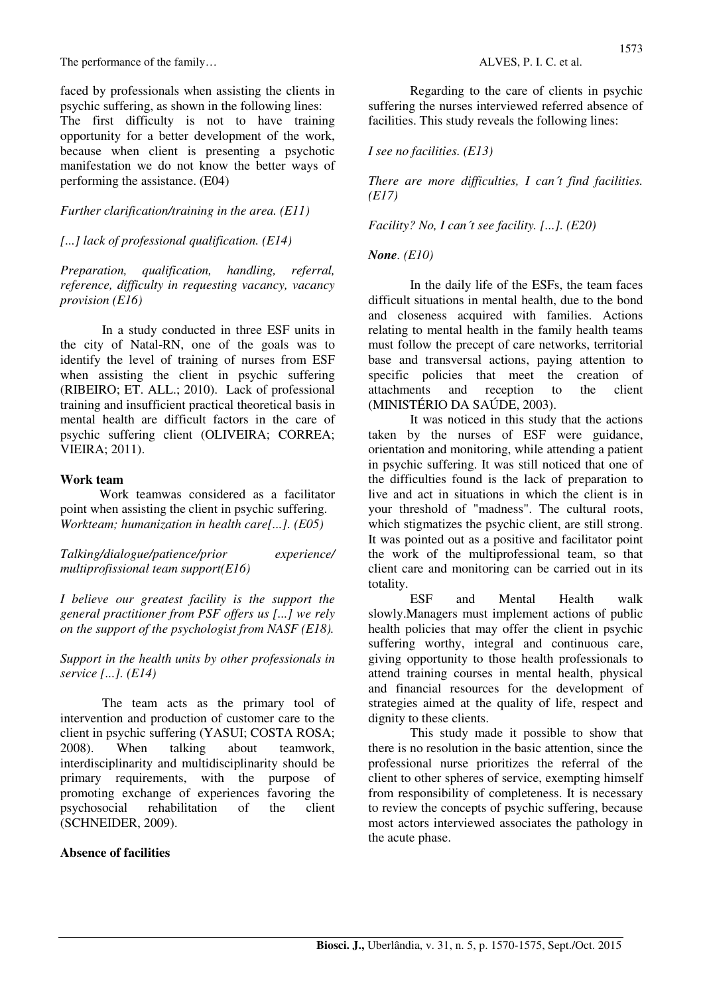The performance of the family…  $ALVES, P. I. C.$  et al.

faced by professionals when assisting the clients in psychic suffering, as shown in the following lines:

The first difficulty is not to have training opportunity for a better development of the work, because when client is presenting a psychotic manifestation we do not know the better ways of performing the assistance. (E04)

## *Further clarification/training in the area. (E11)*

## *[...] lack of professional qualification. (E14)*

*Preparation, qualification, handling, referral, reference, difficulty in requesting vacancy, vacancy provision (E16)*

In a study conducted in three ESF units in the city of Natal-RN, one of the goals was to identify the level of training of nurses from ESF when assisting the client in psychic suffering (RIBEIRO; ET. ALL.; 2010). Lack of professional training and insufficient practical theoretical basis in mental health are difficult factors in the care of psychic suffering client (OLIVEIRA; CORREA; VIEIRA; 2011).

## **Work team**

 Work teamwas considered as a facilitator point when assisting the client in psychic suffering. *Workteam; humanization in health care[...]. (E05)*

*Talking/dialogue/patience/prior experience/ multiprofissional team support(E16)*

*I believe our greatest facility is the support the general practitioner from PSF offers us [...] we rely on the support of the psychologist from NASF (E18).*

*Support in the health units by other professionals in service [...]. (E14)*

The team acts as the primary tool of intervention and production of customer care to the client in psychic suffering (YASUI; COSTA ROSA; 2008). When talking about teamwork, interdisciplinarity and multidisciplinarity should be primary requirements, with the purpose of promoting exchange of experiences favoring the psychosocial rehabilitation of the client (SCHNEIDER, 2009).

## **Absence of facilities**

Regarding to the care of clients in psychic suffering the nurses interviewed referred absence of facilities. This study reveals the following lines:

## *I see no facilities. (E13)*

*There are more difficulties, I can´t find facilities. (E17)*

## *Facility? No, I can´t see facility. [...]. (E20)*

## *None. (E10)*

In the daily life of the ESFs, the team faces difficult situations in mental health, due to the bond and closeness acquired with families. Actions relating to mental health in the family health teams must follow the precept of care networks, territorial base and transversal actions, paying attention to specific policies that meet the creation of attachments and reception to the client (MINISTÉRIO DA SAÚDE, 2003).

It was noticed in this study that the actions taken by the nurses of ESF were guidance, orientation and monitoring, while attending a patient in psychic suffering. It was still noticed that one of the difficulties found is the lack of preparation to live and act in situations in which the client is in your threshold of "madness". The cultural roots, which stigmatizes the psychic client, are still strong. It was pointed out as a positive and facilitator point the work of the multiprofessional team, so that client care and monitoring can be carried out in its totality.

ESF and Mental Health walk slowly.Managers must implement actions of public health policies that may offer the client in psychic suffering worthy, integral and continuous care, giving opportunity to those health professionals to attend training courses in mental health, physical and financial resources for the development of strategies aimed at the quality of life, respect and dignity to these clients.

This study made it possible to show that there is no resolution in the basic attention, since the professional nurse prioritizes the referral of the client to other spheres of service, exempting himself from responsibility of completeness. It is necessary to review the concepts of psychic suffering, because most actors interviewed associates the pathology in the acute phase.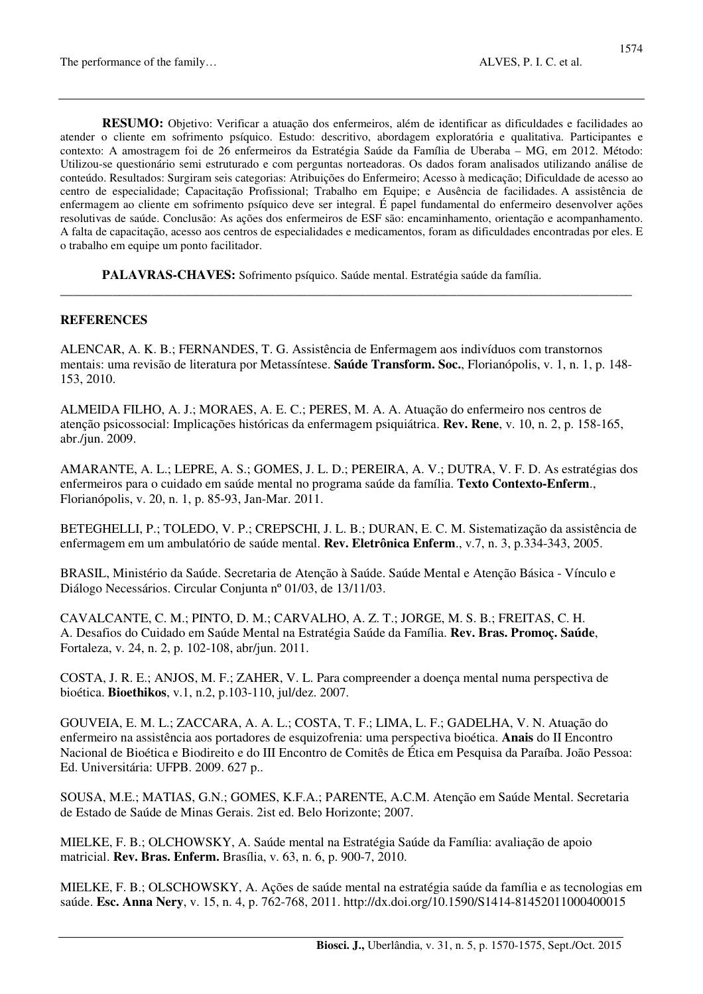**RESUMO:** Objetivo: Verificar a atuação dos enfermeiros, além de identificar as dificuldades e facilidades ao atender o cliente em sofrimento psíquico. Estudo: descritivo, abordagem exploratória e qualitativa. Participantes e contexto: A amostragem foi de 26 enfermeiros da Estratégia Saúde da Família de Uberaba – MG, em 2012. Método: Utilizou-se questionário semi estruturado e com perguntas norteadoras. Os dados foram analisados utilizando análise de conteúdo. Resultados: Surgiram seis categorias: Atribuições do Enfermeiro; Acesso à medicação; Dificuldade de acesso ao centro de especialidade; Capacitação Profissional; Trabalho em Equipe; e Ausência de facilidades. A assistência de enfermagem ao cliente em sofrimento psíquico deve ser integral. É papel fundamental do enfermeiro desenvolver ações resolutivas de saúde. Conclusão: As ações dos enfermeiros de ESF são: encaminhamento, orientação e acompanhamento. A falta de capacitação, acesso aos centros de especialidades e medicamentos, foram as dificuldades encontradas por eles. E o trabalho em equipe um ponto facilitador.

**PALAVRAS-CHAVES:** Sofrimento psíquico. Saúde mental. Estratégia saúde da família.

#### **REFERENCES**

ALENCAR, A. K. B.; FERNANDES, T. G. Assistência de Enfermagem aos indivíduos com transtornos mentais: uma revisão de literatura por Metassíntese. **Saúde Transform. Soc.**, Florianópolis, v. 1, n. 1, p. 148- 153, 2010.

**\_\_\_\_\_\_\_\_\_\_\_\_\_\_\_\_\_\_\_\_\_\_\_\_\_\_\_\_\_\_\_\_\_\_\_\_\_\_\_\_\_\_\_\_\_\_\_\_\_\_\_\_\_\_\_\_\_\_\_\_\_\_\_\_\_\_\_\_\_\_\_\_\_\_\_\_\_\_\_\_\_\_\_\_\_\_\_\_** 

ALMEIDA FILHO, A. J.; MORAES, A. E. C.; PERES, M. A. A. Atuação do enfermeiro nos centros de atenção psicossocial: Implicações históricas da enfermagem psiquiátrica. **Rev. Rene**, v. 10, n. 2, p. 158-165, abr./jun. 2009.

AMARANTE, A. L.; LEPRE, A. S.; GOMES, J. L. D.; PEREIRA, A. V.; DUTRA, V. F. D. As estratégias dos enfermeiros para o cuidado em saúde mental no programa saúde da família. **Texto Contexto-Enferm**., Florianópolis, v. 20, n. 1, p. 85-93, Jan-Mar. 2011.

BETEGHELLI, P.; TOLEDO, V. P.; CREPSCHI, J. L. B.; DURAN, E. C. M. Sistematização da assistência de enfermagem em um ambulatório de saúde mental. **Rev. Eletrônica Enferm**., v.7, n. 3, p.334-343, 2005.

BRASIL, Ministério da Saúde. Secretaria de Atenção à Saúde. Saúde Mental e Atenção Básica - Vínculo e Diálogo Necessários. Circular Conjunta nº 01/03, de 13/11/03.

CAVALCANTE, C. M.; PINTO, D. M.; CARVALHO, A. Z. T.; JORGE, M. S. B.; FREITAS, C. H. A. Desafios do Cuidado em Saúde Mental na Estratégia Saúde da Família. **Rev. Bras. Promoç. Saúde**, Fortaleza, v. 24, n. 2, p. 102-108, abr/jun. 2011.

COSTA, J. R. E.; ANJOS, M. F.; ZAHER, V. L. Para compreender a doença mental numa perspectiva de bioética. **Bioethikos**, v.1, n.2, p.103-110, jul/dez. 2007.

GOUVEIA, E. M. L.; ZACCARA, A. A. L.; COSTA, T. F.; LIMA, L. F.; GADELHA, V. N. Atuação do enfermeiro na assistência aos portadores de esquizofrenia: uma perspectiva bioética. **Anais** do II Encontro Nacional de Bioética e Biodireito e do III Encontro de Comitês de Ética em Pesquisa da Paraíba. João Pessoa: Ed. Universitária: UFPB. 2009. 627 p..

SOUSA, M.E.; MATIAS, G.N.; GOMES, K.F.A.; PARENTE, A.C.M. Atenção em Saúde Mental. Secretaria de Estado de Saúde de Minas Gerais. 2ist ed. Belo Horizonte; 2007.

MIELKE, F. B.; OLCHOWSKY, A. Saúde mental na Estratégia Saúde da Família: avaliação de apoio matricial. **Rev. Bras. Enferm.** Brasília, v. 63, n. 6, p. 900-7, 2010.

MIELKE, F. B.; OLSCHOWSKY, A. Ações de saúde mental na estratégia saúde da família e as tecnologias em saúde. **Esc. Anna Nery**, v. 15, n. 4, p. 762-768, 2011. http://dx.doi.org/10.1590/S1414-81452011000400015